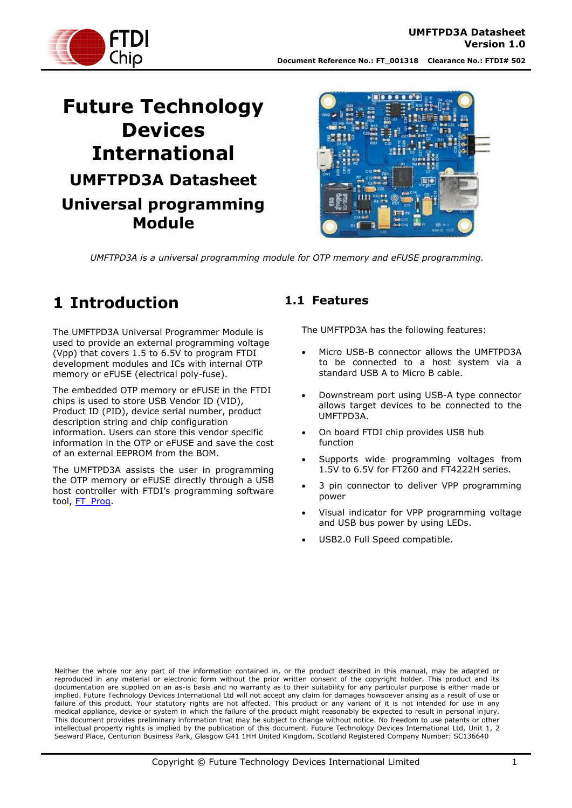

# **Future Technology Devices International UMFTPD3A Datasheet Universal programming Module**



*UMFTPD3A is a universal programming module for OTP memory and eFUSE programming.*

# <span id="page-0-0"></span>**1 Introduction**

The UMFTPD3A Universal Programmer Module is used to provide an external programming voltage (Vpp) that covers 1.5 to 6.5V to program FTDI development modules and ICs with internal OTP memory or eFUSE (electrical poly-fuse).

The embedded OTP memory or eFUSE in the FTDI chips is used to store USB Vendor ID (VID), Product ID (PID), device serial number, product description string and chip configuration information. Users can store this vendor specific information in the OTP or eFUSE and save the cost of an external EEPROM from the BOM.

The UMFTPD3A assists the user in programming the OTP memory or eFUSE directly through a USB host controller with FTDI's programming software tool, [FT\\_Prog.](http://www.ftdichip.com/Support/Utilities.htm#FT_PROG)

### <span id="page-0-1"></span>**1.1 Features**

The UMFTPD3A has the following features:

- Micro USB-B connector allows the UMFTPD3A to be connected to a host system via a standard USB A to Micro B cable.
- Downstream port using USB-A type connector allows target devices to be connected to the UMFTPD3A.
- On board FTDI chip provides USB hub function
- Supports wide programming voltages from 1.5V to 6.5V for FT260 and FT4222H series.
- 3 pin connector to deliver VPP programming power
- Visual indicator for VPP programming voltage and USB bus power by using LEDs.
- USB2.0 Full Speed compatible.

Neither the whole nor any part of the information contained in, or the product described in this manual, may be adapted or reproduced in any material or electronic form without the prior written consent of the copyright holder. This product and its documentation are supplied on an as-is basis and no warranty as to their suitability for any particular purpose is either made or implied. Future Technology Devices International Ltd will not accept any claim for damages howsoever arising as a result of use or failure of this product. Your statutory rights are not affected. This product or any variant of it is not intended for use in any medical appliance, device or system in which the failure of the product might reasonably be expected to result in personal injury. This document provides preliminary information that may be subject to change without notice. No freedom to use patents or other intellectual property rights is implied by the publication of this document. Future Technology Devices International Ltd, Unit 1, 2 Seaward Place, Centurion Business Park, Glasgow G41 1HH United Kingdom. Scotland Registered Company Number: SC136640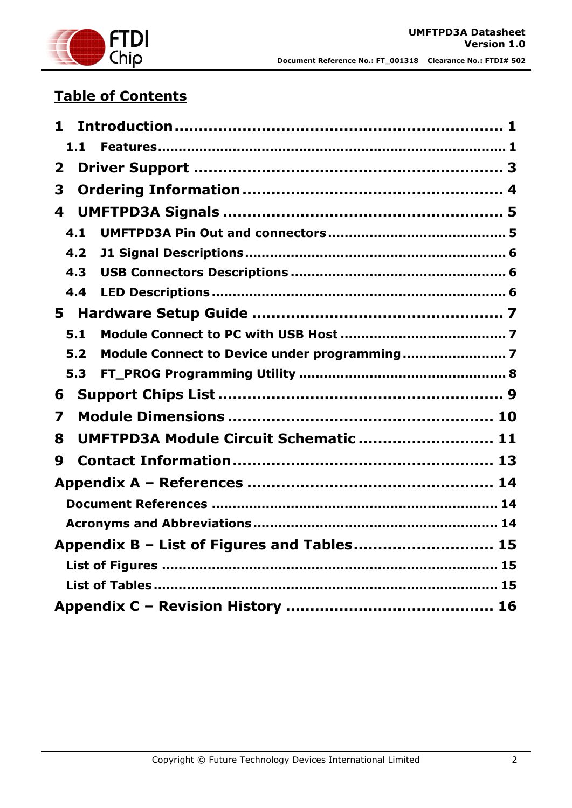

# **Table of Contents**

| 1                                          |  |
|--------------------------------------------|--|
| 1.1                                        |  |
| $\mathbf{2}$                               |  |
| 3                                          |  |
| 4                                          |  |
| 4.1                                        |  |
| 4.2                                        |  |
| 4.3                                        |  |
| 4.4                                        |  |
|                                            |  |
| 5.1                                        |  |
| 5.2                                        |  |
| 5.3                                        |  |
| 6                                          |  |
| 7                                          |  |
| UMFTPD3A Module Circuit Schematic  11<br>8 |  |
| 9                                          |  |
|                                            |  |
|                                            |  |
|                                            |  |
| Appendix B - List of Figures and Tables 15 |  |
|                                            |  |
|                                            |  |
|                                            |  |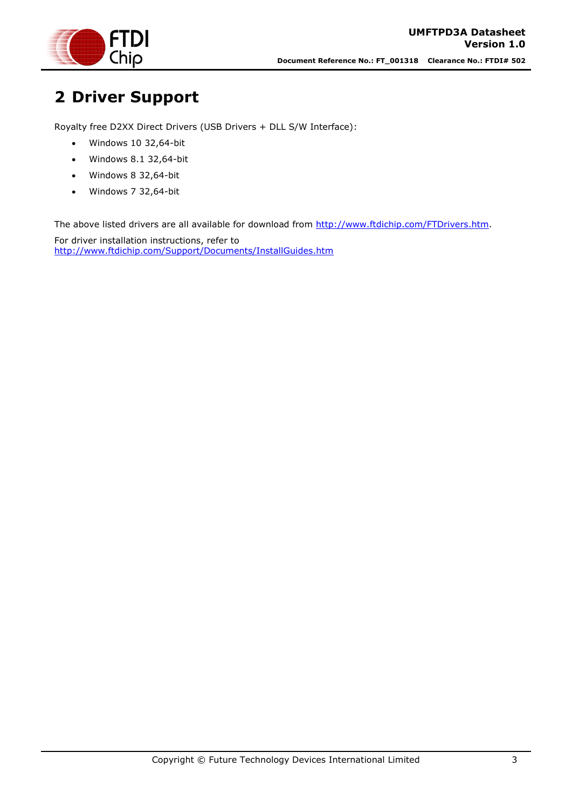

# <span id="page-2-0"></span>**2 Driver Support**

Royalty free D2XX Direct Drivers (USB Drivers + DLL S/W Interface):

- Windows 10 32,64-bit
- Windows 8.1 32,64-bit
- Windows 8 32,64-bit
- Windows 7 32,64-bit

The above listed drivers are all available for download from [http://www.ftdichip.com/FTDrivers.htm.](http://www.ftdichip.com/FTDrivers.htm)

For driver installation instructions, refer to <http://www.ftdichip.com/Support/Documents/InstallGuides.htm>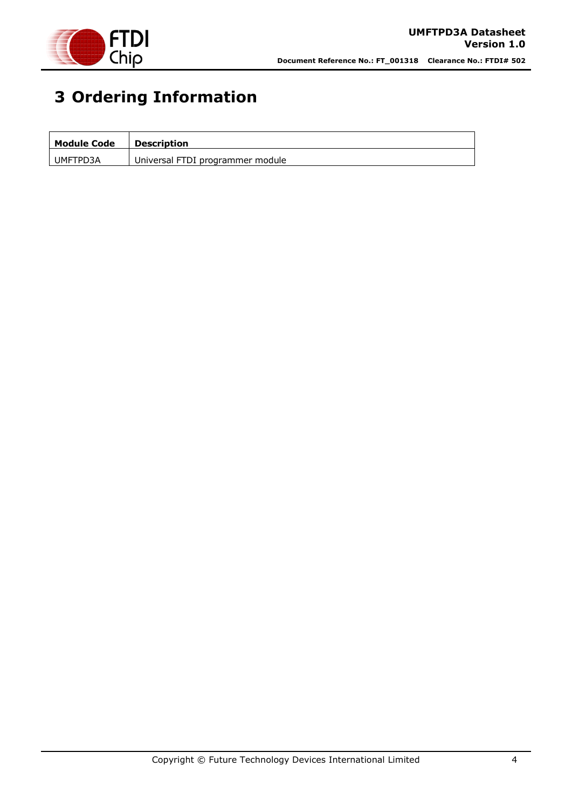

# <span id="page-3-0"></span>**3 Ordering Information**

| <b>Module Code</b> | <b>Description</b>               |
|--------------------|----------------------------------|
| UMFTPD3A           | Universal FTDI programmer module |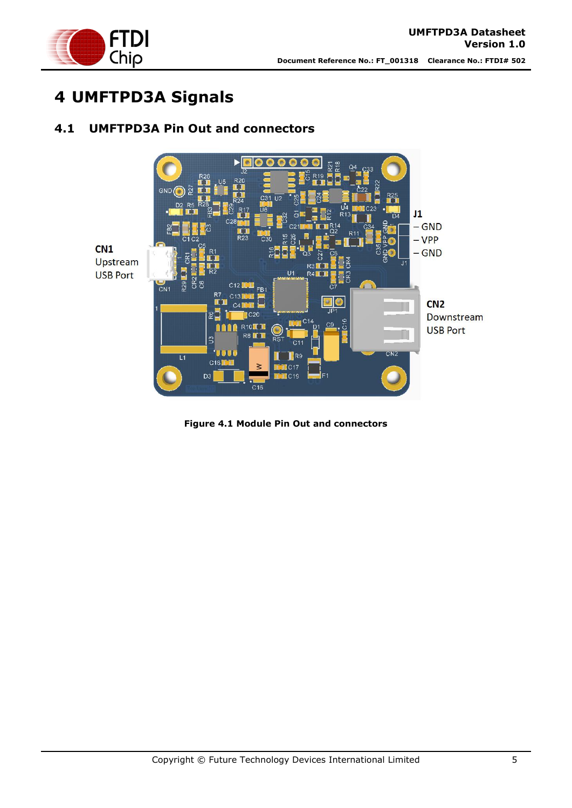

# <span id="page-4-0"></span>**4 UMFTPD3A Signals**



### <span id="page-4-1"></span>**4.1 UMFTPD3A Pin Out and connectors**

<span id="page-4-2"></span>**Figure 4.1 Module Pin Out and connectors**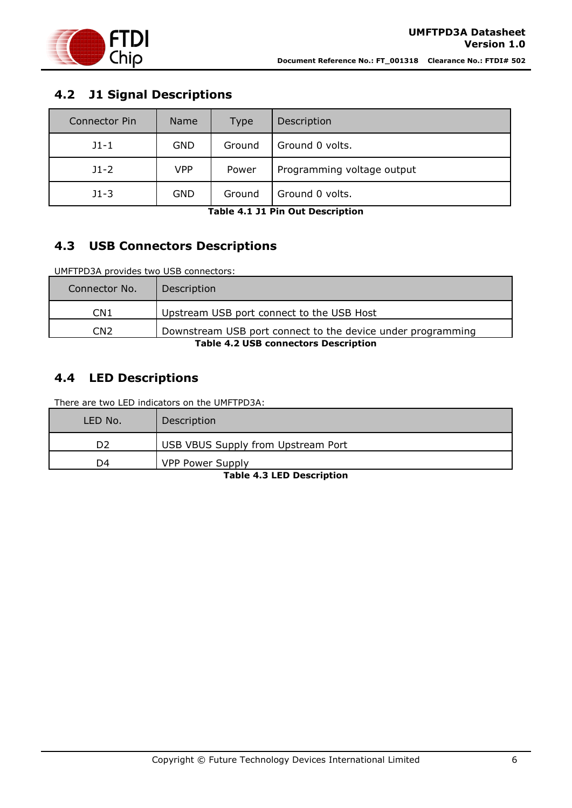

### <span id="page-5-0"></span>**4.2 J1 Signal Descriptions**

| <b>Connector Pin</b> | Name       | <b>Type</b>                         | Description     |
|----------------------|------------|-------------------------------------|-----------------|
| $J1 - 1$             | <b>GND</b> | Ground                              | Ground 0 volts. |
| $J1-2$               | VPP        | Programming voltage output<br>Power |                 |
| $J1-3$               | <b>GND</b> | Ground                              | Ground 0 volts. |

**Table 4.1 J1 Pin Out Description**

## <span id="page-5-3"></span><span id="page-5-1"></span>**4.3 USB Connectors Descriptions**

UMFTPD3A provides two USB connectors:

| Connector No.                               | Description                                                 |  |
|---------------------------------------------|-------------------------------------------------------------|--|
| CN1                                         | Upstream USB port connect to the USB Host                   |  |
| CN <sub>2</sub>                             | Downstream USB port connect to the device under programming |  |
| <b>Table 4.2 USB connectors Description</b> |                                                             |  |

### <span id="page-5-4"></span><span id="page-5-2"></span>**4.4 LED Descriptions**

There are two LED indicators on the UMFTPD3A:

<span id="page-5-5"></span>

| LED No. | Description                        |  |
|---------|------------------------------------|--|
| D2      | USB VBUS Supply from Upstream Port |  |
| D4      | <b>VPP Power Supply</b>            |  |
|         |                                    |  |

**Table 4.3 LED Description**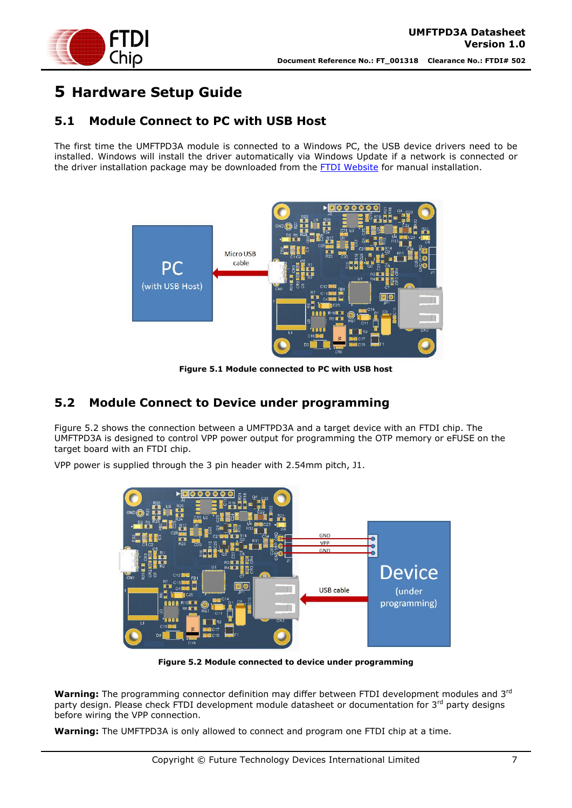

# <span id="page-6-0"></span>**5 Hardware Setup Guide**

### <span id="page-6-1"></span>**5.1 Module Connect to PC with USB Host**

The first time the UMFTPD3A module is connected to a Windows PC, the USB device drivers need to be installed. Windows will install the driver automatically via Windows Update if a network is connected or the driver installation package may be downloaded from the [FTDI Website](http://www.ftdichip.com/FTDrivers.htm) for manual installation.



**Figure 5.1 Module connected to PC with USB host**

### <span id="page-6-3"></span><span id="page-6-2"></span>**5.2 Module Connect to Device under programming**

Figure 5.2 shows the connection between a UMFTPD3A and a target device with an FTDI chip. The UMFTPD3A is designed to control VPP power output for programming the OTP memory or eFUSE on the target board with an FTDI chip.

VPP power is supplied through the 3 pin header with 2.54mm pitch, J1.



**Figure 5.2 Module connected to device under programming**

<span id="page-6-4"></span>**Warning:** The programming connector definition may differ between FTDI development modules and 3rd party design. Please check FTDI development module datasheet or documentation for 3<sup>rd</sup> party designs before wiring the VPP connection.

**Warning:** The UMFTPD3A is only allowed to connect and program one FTDI chip at a time.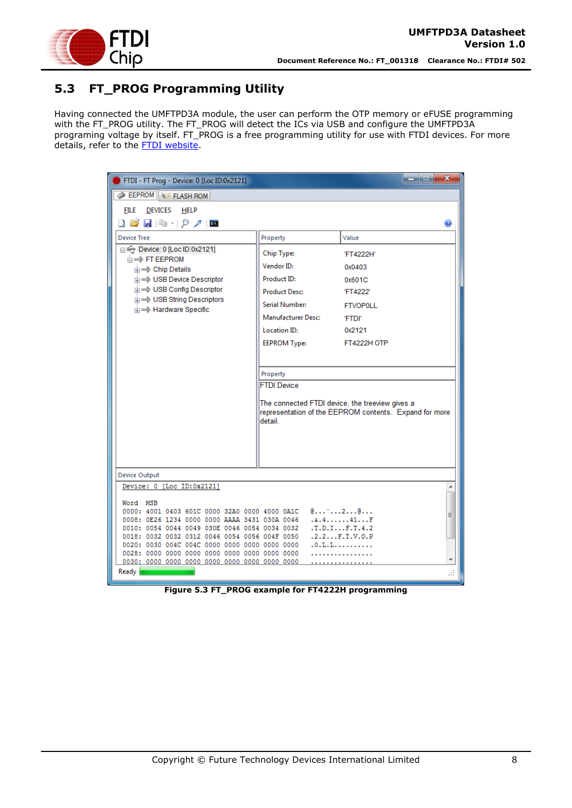

## <span id="page-7-0"></span>**5.3 FT\_PROG Programming Utility**

Having connected the UMFTPD3A module, the user can perform the OTP memory or eFUSE programming with the FT\_PROG utility. The FT\_PROG will detect the ICs via USB and configure the UMFTPD3A programing voltage by itself. FT\_PROG is a free programming utility for use with FTDI devices. For more details, refer to the [FTDI website.](http://www.ftdichip.com/)

| FTDI - FT Prog - Device: 0 [Loc ID:0x2121]                                                     |                                                 | $\mathbf x$<br>اد ارد.                                 |
|------------------------------------------------------------------------------------------------|-------------------------------------------------|--------------------------------------------------------|
| <b>EEPROM</b> & FLASH ROM                                                                      |                                                 |                                                        |
| DEVICES HELP<br><b>FILE</b>                                                                    |                                                 |                                                        |
| ▯◶▮▮▫◝▯◕◞▮◙                                                                                    |                                                 | Ø                                                      |
|                                                                                                |                                                 |                                                        |
| <b>Device Tree</b>                                                                             | Property                                        | Value                                                  |
| Device: 0 [Loc ID:0x2121]<br><b>E</b> <del>FT</del> EEPROM                                     | Chip Type:                                      | 'FT4222H'                                              |
| <b>E</b> $\Rightarrow$ Chip Details                                                            | Vendor ID:                                      | 0x0403                                                 |
| in ⇒ USB Device Descriptor                                                                     | Product ID:                                     | 0x601C                                                 |
| <b>E</b> → USB Config Descriptor                                                               | <b>Product Desc:</b>                            | 'FT4222'                                               |
| in ⇒ USB String Descriptors                                                                    | Serial Number:                                  | <b>FTVOP0LL</b>                                        |
| in $\Rightarrow$ Hardware Specific                                                             |                                                 |                                                        |
|                                                                                                | Manufacturer Desc:                              | 'FTDI'                                                 |
|                                                                                                | <b>Location ID:</b>                             | 0x2121                                                 |
|                                                                                                | <b>EEPROM Type:</b>                             | <b>FT4222H OTP</b>                                     |
|                                                                                                |                                                 |                                                        |
|                                                                                                |                                                 |                                                        |
|                                                                                                | Property<br><b>FTDI Device</b>                  |                                                        |
|                                                                                                |                                                 |                                                        |
|                                                                                                | The connected FTDI device, the treeview gives a |                                                        |
|                                                                                                |                                                 | representation of the EEPROM contents. Expand for more |
|                                                                                                | detail                                          |                                                        |
|                                                                                                |                                                 |                                                        |
|                                                                                                |                                                 |                                                        |
|                                                                                                |                                                 |                                                        |
|                                                                                                |                                                 |                                                        |
| <b>Device Output</b>                                                                           |                                                 |                                                        |
| Device: 0 [Loc ID:0x2121]                                                                      |                                                 | ▲                                                      |
| Word MSB                                                                                       |                                                 |                                                        |
| 0000: 4001 0403 601C 0000 32A0 0000 4000 0A1C                                                  |                                                 | $0$ 2 $0$<br>Ξ                                         |
| 0008: 0E26 1234 0000 0000 AAAA 3431 030A 0046<br>0010: 0054 0044 0049 030E 0046 0054 0034 0032 |                                                 | .4.4.1.1.41.0.0<br>.T.D.I. F.T. 4.2                    |
| 0018: 0032 0032 0312 0046 0054 0056 004F 0050                                                  |                                                 | .2.2. F.T.V. 0.P                                       |
|                                                                                                |                                                 | .0. L.L. L.                                            |
|                                                                                                |                                                 |                                                        |
| Ready                                                                                          |                                                 |                                                        |
|                                                                                                |                                                 |                                                        |

<span id="page-7-1"></span>**Figure 5.3 FT\_PROG example for FT4222H programming**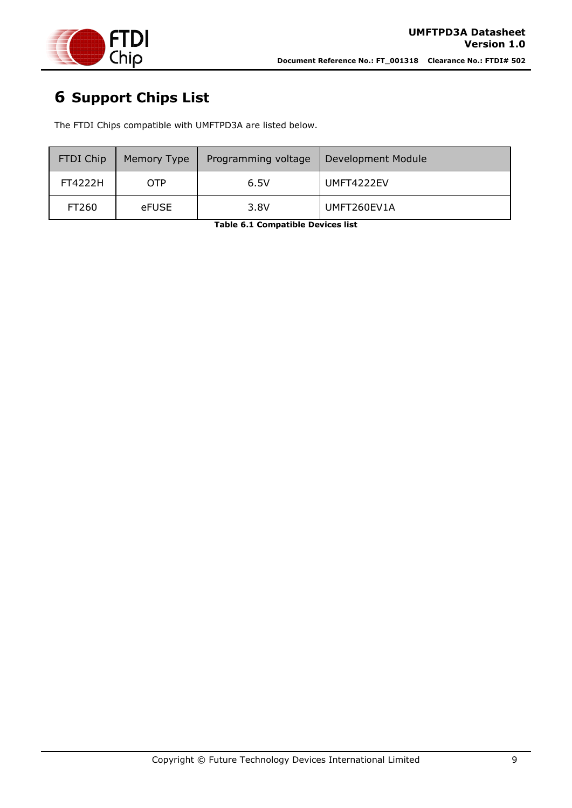

# <span id="page-8-0"></span>**6 Support Chips List**

The FTDI Chips compatible with UMFTPD3A are listed below.

<span id="page-8-1"></span>

| <b>FTDI Chip</b> | Memory Type | Programming voltage | Development Module |
|------------------|-------------|---------------------|--------------------|
| FT4222H          | OTP         | 6.5V                | UMFT4222EV         |
| FT260            | eFUSE       | 3.8V                | UMFT260EV1A        |

**Table 6.1 Compatible Devices list**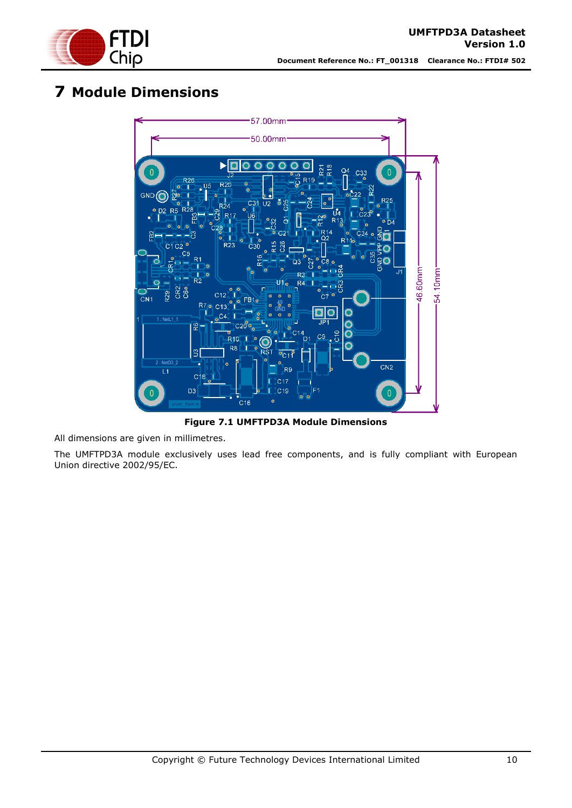

## <span id="page-9-0"></span>**7 Module Dimensions**



**Figure 7.1 UMFTPD3A Module Dimensions**

<span id="page-9-1"></span>All dimensions are given in millimetres.

The UMFTPD3A module exclusively uses lead free components, and is fully compliant with European Union directive 2002/95/EC.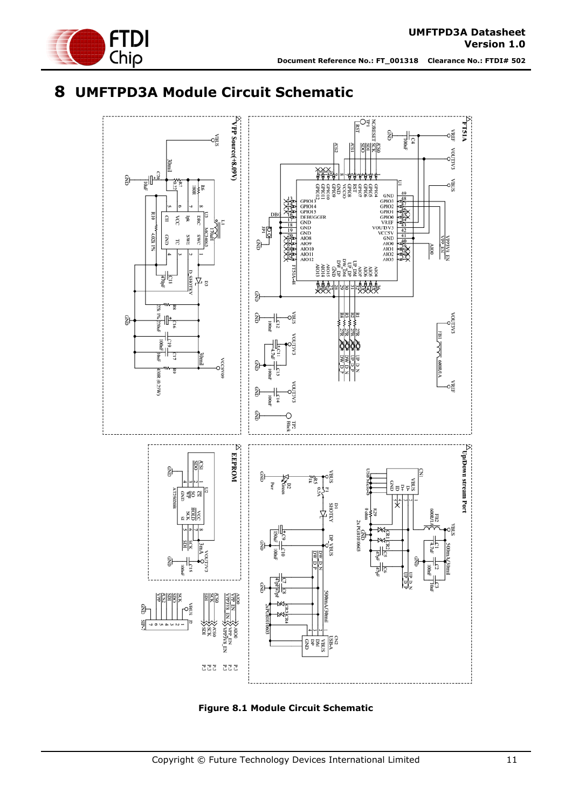

**Document Reference No.: FT\_001318 Clearance No.: FTDI# 502**

## <span id="page-10-0"></span>**8 UMFTPD3A Module Circuit Schematic**



<span id="page-10-1"></span>**Figure 8.1 Module Circuit Schematic**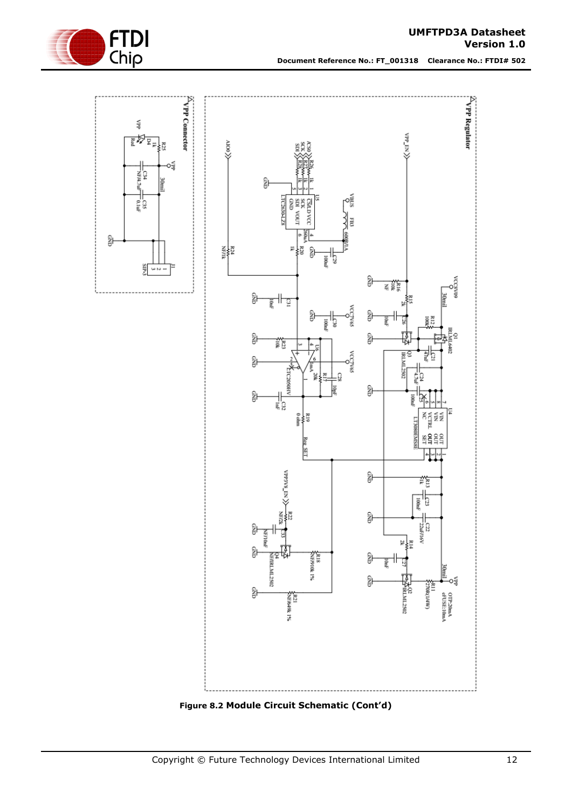

**Document Reference No.: FT\_001318 Clearance No.: FTDI# 502**

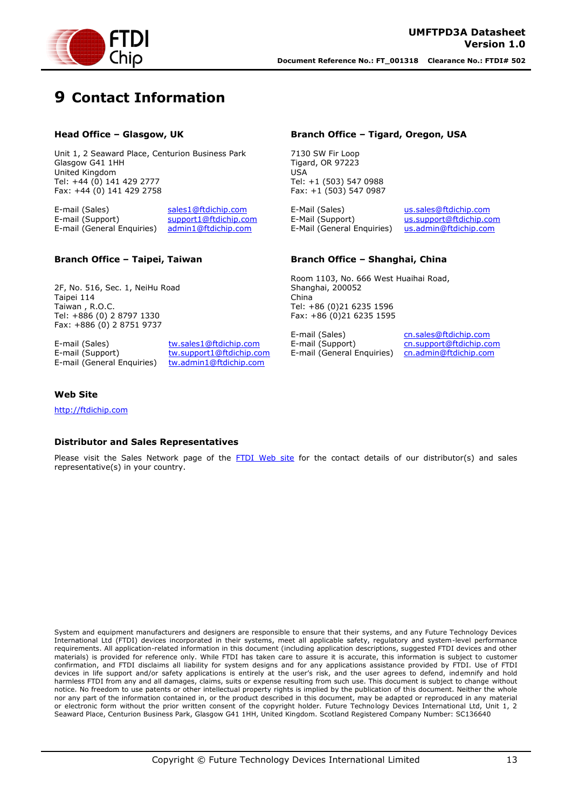

# <span id="page-12-0"></span>**9 Contact Information**

#### **Head Office – Glasgow, UK**

Unit 1, 2 Seaward Place, Centurion Business Park Glasgow G41 1HH United Kingdom Tel: +44 (0) 141 429 2777 Fax: +44 (0) 141 429 2758

E-mail (Sales) [sales1@ftdichip.com](mailto:sales1@ftdichip.com)<br>E-mail (Support) support1@ftdichip.com [support1@ftdichip.com](mailto:support1@ftdichip.com) E-mail (General Enquiries) [admin1@ftdichip.com](mailto:admin1@ftdichip.com)

#### **Branch Office – Tigard, Oregon, USA**

7130 SW Fir Loop Tigard, OR 97223 USA Tel: +1 (503) 547 0988 Fax: +1 (503) 547 0987

E-Mail (Sales) en [us.sales@ftdichip.com](mailto:us.sales@ftdichip.com)<br>E-Mail (Support) us.support@ftdichip.com E-Mail (General Enquiries) [us.admin@ftdichip.com](mailto:us.admin@ftdichip.com)

[us.support@ftdichip.com](mailto:us.support@ftdichip.com)

#### **Branch Office – Taipei, Taiwan**

2F, No. 516, Sec. 1, NeiHu Road Taipei 114 Taiwan , R.O.C. Tel: +886 (0) 2 8797 1330 Fax: +886 (0) 2 8751 9737

E-mail (Sales) [tw.sales1@ftdichip.com](mailto:tw.sales1@ftdichip.com) E-mail (Support) [tw.support1@ftdichip.com](mailto:tw.support1@ftdichip.com) E-mail (General Enquiries) [tw.admin1@ftdichip.com](mailto:tw.admin1@ftdichip.com)

#### **Branch Office – Shanghai, China**

Room 1103, No. 666 West Huaihai Road, Shanghai, 200052 China Tel: +86 (0)21 6235 1596 Fax: +86 (0)21 6235 1595

E-mail (Sales) [cn.sales@ftdichip.com](mailto:cn.sales@ftdichip.com) E-mail (Support) [cn.support@ftdichip.com](mailto:cn.support@ftdichip.com) E-mail (General Enquiries) [cn.admin@ftdichip.com](mailto:cn.admin@ftdichip.com)

#### **Web Site**

[http://ftdichip.com](http://ftdichip.com/)

#### **Distributor and Sales Representatives**

Please visit the Sales Network page of the [FTDI Web site](http://ftdichip.com/FTSalesNetwork.htm) for the contact details of our distributor(s) and sales representative(s) in your country.

System and equipment manufacturers and designers are responsible to ensure that their systems, and any Future Technology Devices International Ltd (FTDI) devices incorporated in their systems, meet all applicable safety, regulatory and system-level performance requirements. All application-related information in this document (including application descriptions, suggested FTDI devices and other materials) is provided for reference only. While FTDI has taken care to assure it is accurate, this information is subject to customer confirmation, and FTDI disclaims all liability for system designs and for any applications assistance provided by FTDI. Use of FTDI devices in life support and/or safety applications is entirely at the user's risk, and the user agrees to defend, indemnify and hold harmless FTDI from any and all damages, claims, suits or expense resulting from such use. This document is subject to change without notice. No freedom to use patents or other intellectual property rights is implied by the publication of this document. Neither the whole nor any part of the information contained in, or the product described in this document, may be adapted or reproduced in any material or electronic form without the prior written consent of the copyright holder. Future Technology Devices International Ltd, Unit 1, 2 Seaward Place, Centurion Business Park, Glasgow G41 1HH, United Kingdom. Scotland Registered Company Number: SC136640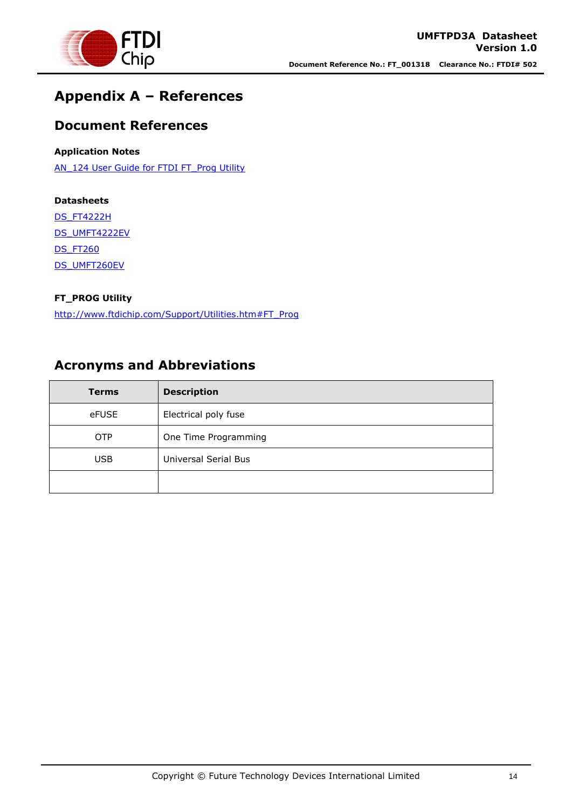

## <span id="page-13-0"></span>**Appendix A – References**

### <span id="page-13-1"></span>**Document References**

#### **Application Notes**

[AN\\_124 User Guide for FTDI FT\\_Prog Utility](http://www.ftdichip.com/Support/Documents/AppNotes/AN_124_User_Guide_For_FT_PROG.pdf)

#### **Datasheets**

[DS\\_FT4222H](http://www.ftdichip.com/Support/Documents/DataSheets/ICs/DS_FT4222H.pdf)

[DS\\_UMFT4222EV](http://www.ftdichip.com/Support/Documents/DataSheets/Modules/DS_UMFT4222EV.pdf)

DS FT260

[DS\\_UMFT260EV](http://www.ftdichip.com/Support/Documents/DataSheets/Modules/DS_UMFT260EV1A.pdf)

#### **FT\_PROG Utility**

[http://www.ftdichip.com/Support/Utilities.htm#FT\\_Prog](http://www.ftdichip.com/Support/Utilities.htm#FT_Prog)

### <span id="page-13-2"></span>**Acronyms and Abbreviations**

| <b>Terms</b> | <b>Description</b>   |
|--------------|----------------------|
| eFUSE        | Electrical poly fuse |
| <b>OTP</b>   | One Time Programming |
| <b>USB</b>   | Universal Serial Bus |
|              |                      |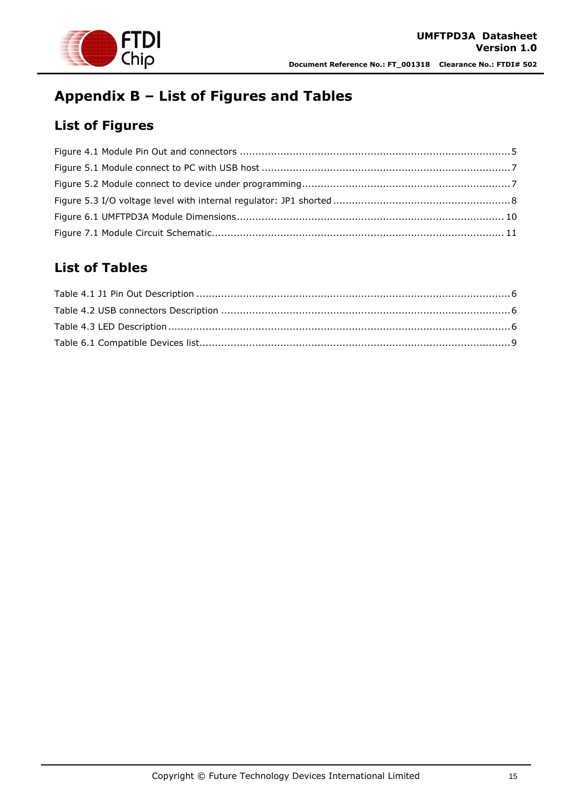

# <span id="page-14-0"></span>**Appendix B – List of Figures and Tables**

## <span id="page-14-1"></span>**List of Figures**

## <span id="page-14-2"></span>**List of Tables**